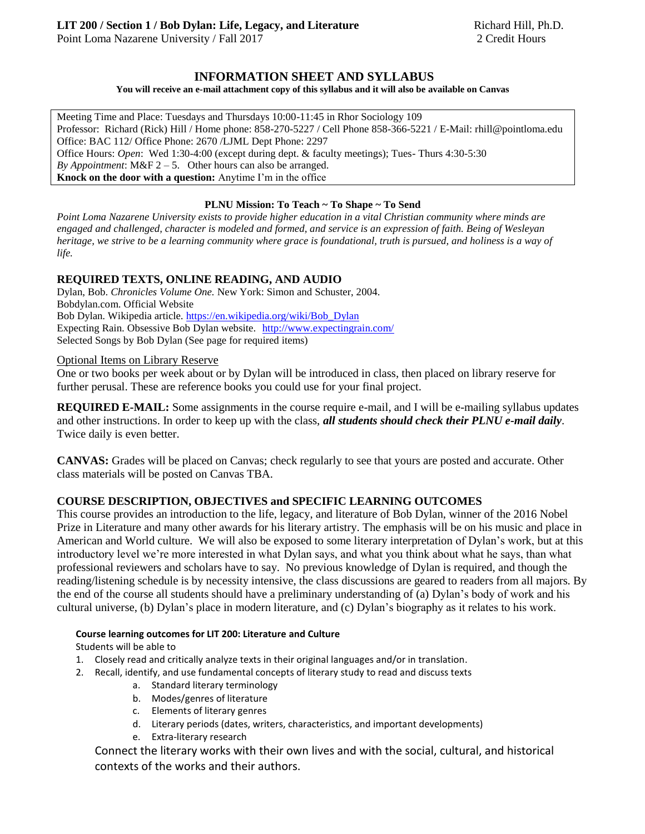Point Loma Nazarene University / Fall 2017 2 Credit Hours

## **INFORMATION SHEET AND SYLLABUS**

#### **You will receive an e-mail attachment copy of this syllabus and it will also be available on Canvas**

Meeting Time and Place: Tuesdays and Thursdays 10:00-11:45 in Rhor Sociology 109 Professor: Richard (Rick) Hill / Home phone: 858-270-5227 / Cell Phone 858-366-5221 / E-Mail: rhill@pointloma.edu Office: BAC 112/ Office Phone: 2670 /LJML Dept Phone: 2297 Office Hours: *Open*: Wed 1:30-4:00 (except during dept. & faculty meetings); Tues- Thurs 4:30-5:30 *By Appointment*:  $M\&F$  2 – 5. Other hours can also be arranged. **Knock on the door with a question:** Anytime I'm in the office

### **PLNU Mission: To Teach ~ To Shape ~ To Send**

*Point Loma Nazarene University exists to provide higher education in a vital Christian community where minds are engaged and challenged, character is modeled and formed, and service is an expression of faith. Being of Wesleyan heritage, we strive to be a learning community where grace is foundational, truth is pursued, and holiness is a way of life.*

### **REQUIRED TEXTS, ONLINE READING, AND AUDIO**

Dylan, Bob. *Chronicles Volume One.* New York: Simon and Schuster, 2004. Bobdylan.com. Official Website Bob Dylan. Wikipedia article[. https://en.wikipedia.org/wiki/Bob\\_Dylan](https://en.wikipedia.org/wiki/Bob_Dylan) Expecting Rain. Obsessive Bob Dylan website. <http://www.expectingrain.com/> Selected Songs by Bob Dylan (See page for required items)

### Optional Items on Library Reserve

One or two books per week about or by Dylan will be introduced in class, then placed on library reserve for further perusal. These are reference books you could use for your final project.

**REQUIRED E-MAIL:** Some assignments in the course require e-mail, and I will be e-mailing syllabus updates and other instructions. In order to keep up with the class, *all students should check their PLNU e-mail daily*. Twice daily is even better.

**CANVAS:** Grades will be placed on Canvas; check regularly to see that yours are posted and accurate. Other class materials will be posted on Canvas TBA.

## **COURSE DESCRIPTION, OBJECTIVES and SPECIFIC LEARNING OUTCOMES**

This course provides an introduction to the life, legacy, and literature of Bob Dylan, winner of the 2016 Nobel Prize in Literature and many other awards for his literary artistry. The emphasis will be on his music and place in American and World culture. We will also be exposed to some literary interpretation of Dylan's work, but at this introductory level we're more interested in what Dylan says, and what you think about what he says, than what professional reviewers and scholars have to say. No previous knowledge of Dylan is required, and though the reading/listening schedule is by necessity intensive, the class discussions are geared to readers from all majors. By the end of the course all students should have a preliminary understanding of (a) Dylan's body of work and his cultural universe, (b) Dylan's place in modern literature, and (c) Dylan's biography as it relates to his work.

### **Course learning outcomes for LIT 200: Literature and Culture**

Students will be able to

- 1. Closely read and critically analyze texts in their original languages and/or in translation.
- 2. Recall, identify, and use fundamental concepts of literary study to read and discuss texts
	- a. Standard literary terminology
	- b. Modes/genres of literature
	- c. Elements of literary genres
	- d. Literary periods (dates, writers, characteristics, and important developments)
	- e. Extra-literary research

Connect the literary works with their own lives and with the social, cultural, and historical contexts of the works and their authors.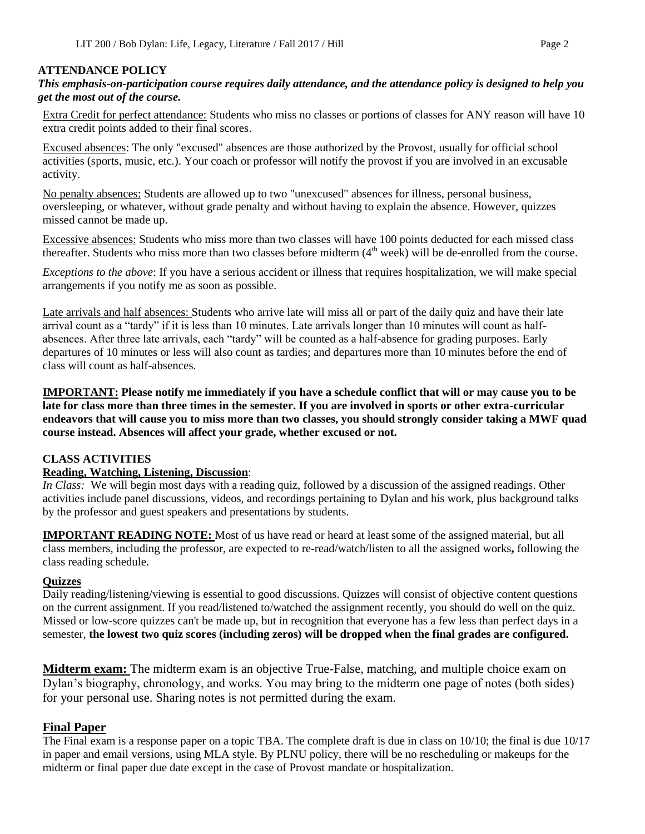### **ATTENDANCE POLICY**

*This emphasis-on-participation course requires daily attendance, and the attendance policy is designed to help you get the most out of the course.* 

Extra Credit for perfect attendance: Students who miss no classes or portions of classes for ANY reason will have 10 extra credit points added to their final scores.

Excused absences: The only "excused" absences are those authorized by the Provost, usually for official school activities (sports, music, etc.). Your coach or professor will notify the provost if you are involved in an excusable activity.

No penalty absences: Students are allowed up to two "unexcused" absences for illness, personal business, oversleeping, or whatever, without grade penalty and without having to explain the absence. However, quizzes missed cannot be made up.

Excessive absences: Students who miss more than two classes will have 100 points deducted for each missed class thereafter. Students who miss more than two classes before midterm  $(4<sup>th</sup> week)$  will be de-enrolled from the course.

*Exceptions to the above*: If you have a serious accident or illness that requires hospitalization, we will make special arrangements if you notify me as soon as possible.

Late arrivals and half absences: Students who arrive late will miss all or part of the daily quiz and have their late arrival count as a "tardy" if it is less than 10 minutes. Late arrivals longer than 10 minutes will count as halfabsences. After three late arrivals, each "tardy" will be counted as a half-absence for grading purposes. Early departures of 10 minutes or less will also count as tardies; and departures more than 10 minutes before the end of class will count as half-absences.

**IMPORTANT: Please notify me immediately if you have a schedule conflict that will or may cause you to be late for class more than three times in the semester. If you are involved in sports or other extra-curricular endeavors that will cause you to miss more than two classes, you should strongly consider taking a MWF quad course instead. Absences will affect your grade, whether excused or not.**

### **CLASS ACTIVITIES**

### **Reading, Watching, Listening, Discussion**:

*In Class:* We will begin most days with a reading quiz, followed by a discussion of the assigned readings. Other activities include panel discussions, videos, and recordings pertaining to Dylan and his work, plus background talks by the professor and guest speakers and presentations by students.

**IMPORTANT READING NOTE:** Most of us have read or heard at least some of the assigned material, but all class members, including the professor, are expected to re-read/watch/listen to all the assigned works**,** following the class reading schedule.

### **Quizzes**

Daily reading/listening/viewing is essential to good discussions. Quizzes will consist of objective content questions on the current assignment. If you read/listened to/watched the assignment recently, you should do well on the quiz. Missed or low-score quizzes can't be made up, but in recognition that everyone has a few less than perfect days in a semester, **the lowest two quiz scores (including zeros) will be dropped when the final grades are configured.** 

**Midterm exam:** The midterm exam is an objective True-False, matching, and multiple choice exam on Dylan's biography, chronology, and works. You may bring to the midterm one page of notes (both sides) for your personal use. Sharing notes is not permitted during the exam.

## **Final Paper**

The Final exam is a response paper on a topic TBA. The complete draft is due in class on 10/10; the final is due 10/17 in paper and email versions, using MLA style. By PLNU policy, there will be no rescheduling or makeups for the midterm or final paper due date except in the case of Provost mandate or hospitalization.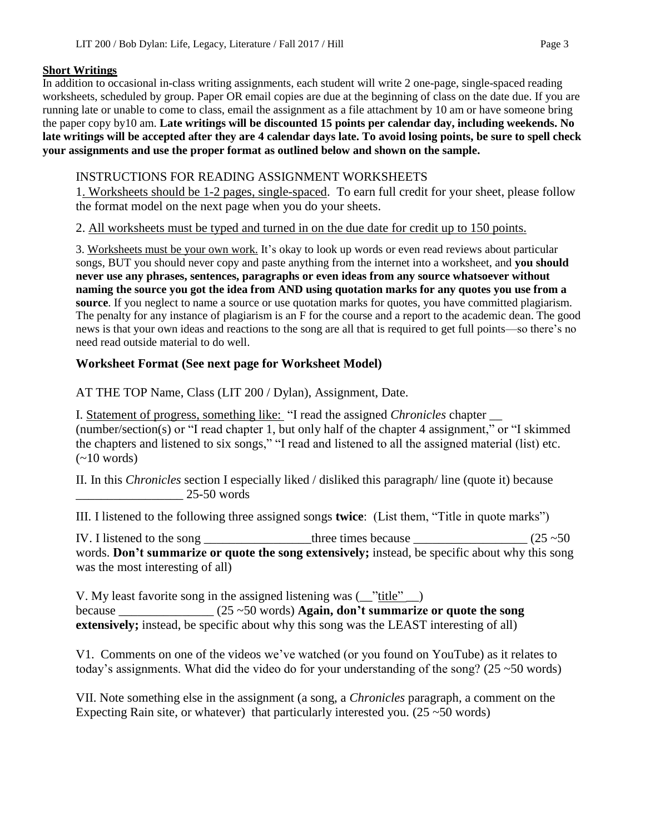## **Short Writings**

In addition to occasional in-class writing assignments, each student will write 2 one-page, single-spaced reading worksheets, scheduled by group. Paper OR email copies are due at the beginning of class on the date due. If you are running late or unable to come to class, email the assignment as a file attachment by 10 am or have someone bring the paper copy by10 am. **Late writings will be discounted 15 points per calendar day, including weekends. No late writings will be accepted after they are 4 calendar days late. To avoid losing points, be sure to spell check your assignments and use the proper format as outlined below and shown on the sample.**

# INSTRUCTIONS FOR READING ASSIGNMENT WORKSHEETS

1. Worksheets should be 1-2 pages, single-spaced. To earn full credit for your sheet, please follow the format model on the next page when you do your sheets.

2. All worksheets must be typed and turned in on the due date for credit up to 150 points.

3. Worksheets must be your own work. It's okay to look up words or even read reviews about particular songs, BUT you should never copy and paste anything from the internet into a worksheet, and **you should never use any phrases, sentences, paragraphs or even ideas from any source whatsoever without naming the source you got the idea from AND using quotation marks for any quotes you use from a source**. If you neglect to name a source or use quotation marks for quotes, you have committed plagiarism. The penalty for any instance of plagiarism is an F for the course and a report to the academic dean. The good news is that your own ideas and reactions to the song are all that is required to get full points—so there's no need read outside material to do well.

## **Worksheet Format (See next page for Worksheet Model)**

AT THE TOP Name, Class (LIT 200 / Dylan), Assignment, Date.

I. Statement of progress, something like: "I read the assigned *Chronicles* chapter \_\_ (number/section(s) or "I read chapter 1, but only half of the chapter 4 assignment," or "I skimmed the chapters and listened to six songs," "I read and listened to all the assigned material (list) etc.  $(-10$  words)

II. In this *Chronicles* section I especially liked / disliked this paragraph/ line (quote it) because \_\_\_\_\_\_\_\_\_\_\_\_\_\_\_\_\_ 25-50 words

III. I listened to the following three assigned songs **twice**: (List them, "Title in quote marks")

IV. I listened to the song \_\_\_\_\_\_\_\_\_\_\_\_\_\_\_\_\_three times because  $\_\_$  (25  $\sim$  50) words. **Don't summarize or quote the song extensively;** instead, be specific about why this song was the most interesting of all)

V. My least favorite song in the assigned listening was (\_\_"title" \_\_) because \_\_\_\_\_\_\_\_\_\_\_\_\_\_\_ (25 ~50 words) **Again, don't summarize or quote the song extensively;** instead, be specific about why this song was the LEAST interesting of all)

V1. Comments on one of the videos we've watched (or you found on YouTube) as it relates to today's assignments. What did the video do for your understanding of the song? ( $25 \sim 50$  words)

VII. Note something else in the assignment (a song, a *Chronicles* paragraph, a comment on the Expecting Rain site, or whatever) that particularly interested you.  $(25 \sim 50 \text{ words})$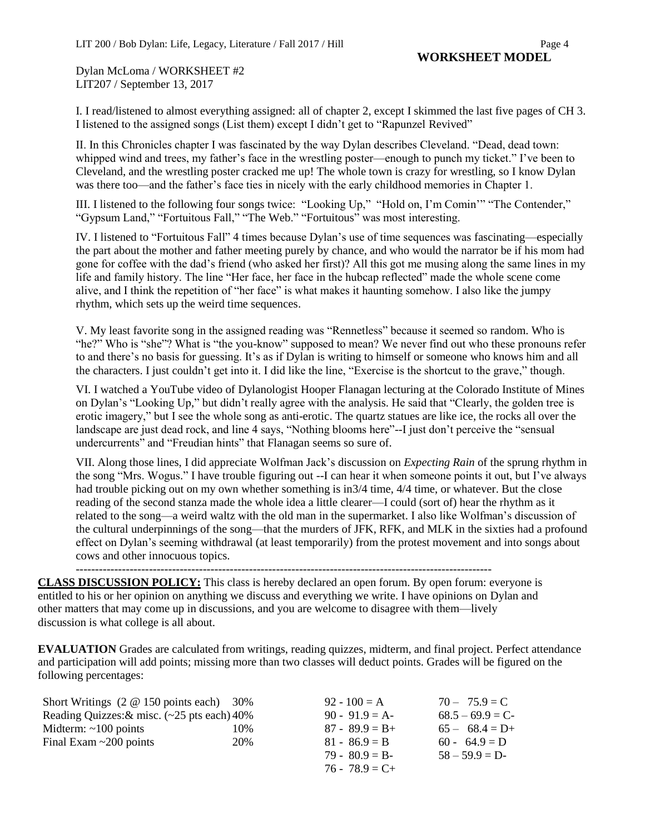Dylan McLoma / WORKSHEET #2 LIT207 / September 13, 2017

I. I read/listened to almost everything assigned: all of chapter 2, except I skimmed the last five pages of CH 3. I listened to the assigned songs (List them) except I didn't get to "Rapunzel Revived"

II. In this Chronicles chapter I was fascinated by the way Dylan describes Cleveland. "Dead, dead town: whipped wind and trees, my father's face in the wrestling poster—enough to punch my ticket." I've been to Cleveland, and the wrestling poster cracked me up! The whole town is crazy for wrestling, so I know Dylan was there too—and the father's face ties in nicely with the early childhood memories in Chapter 1.

III. I listened to the following four songs twice: "Looking Up," "Hold on, I'm Comin'" "The Contender," "Gypsum Land," "Fortuitous Fall," "The Web." "Fortuitous" was most interesting.

IV. I listened to "Fortuitous Fall" 4 times because Dylan's use of time sequences was fascinating—especially the part about the mother and father meeting purely by chance, and who would the narrator be if his mom had gone for coffee with the dad's friend (who asked her first)? All this got me musing along the same lines in my life and family history. The line "Her face, her face in the hubcap reflected" made the whole scene come alive, and I think the repetition of "her face" is what makes it haunting somehow. I also like the jumpy rhythm, which sets up the weird time sequences.

V. My least favorite song in the assigned reading was "Rennetless" because it seemed so random. Who is "he?" Who is "she"? What is "the you-know" supposed to mean? We never find out who these pronouns refer to and there's no basis for guessing. It's as if Dylan is writing to himself or someone who knows him and all the characters. I just couldn't get into it. I did like the line, "Exercise is the shortcut to the grave," though.

VI. I watched a YouTube video of Dylanologist Hooper Flanagan lecturing at the Colorado Institute of Mines on Dylan's "Looking Up," but didn't really agree with the analysis. He said that "Clearly, the golden tree is erotic imagery," but I see the whole song as anti-erotic. The quartz statues are like ice, the rocks all over the landscape are just dead rock, and line 4 says, "Nothing blooms here"--I just don't perceive the "sensual undercurrents" and "Freudian hints" that Flanagan seems so sure of.

VII. Along those lines, I did appreciate Wolfman Jack's discussion on *Expecting Rain* of the sprung rhythm in the song "Mrs. Wogus." I have trouble figuring out --I can hear it when someone points it out, but I've always had trouble picking out on my own whether something is in 3/4 time, 4/4 time, or whatever. But the close reading of the second stanza made the whole idea a little clearer—I could (sort of) hear the rhythm as it related to the song—a weird waltz with the old man in the supermarket. I also like Wolfman's discussion of the cultural underpinnings of the song—that the murders of JFK, RFK, and MLK in the sixties had a profound effect on Dylan's seeming withdrawal (at least temporarily) from the protest movement and into songs about cows and other innocuous topics.

------------------------------------------------------------------------------------------------------------

**CLASS DISCUSSION POLICY:** This class is hereby declared an open forum. By open forum: everyone is entitled to his or her opinion on anything we discuss and everything we write. I have opinions on Dylan and other matters that may come up in discussions, and you are welcome to disagree with them—lively discussion is what college is all about.

**EVALUATION** Grades are calculated from writings, reading quizzes, midterm, and final project. Perfect attendance and participation will add points; missing more than two classes will deduct points. Grades will be figured on the following percentages:

Short Writings (2 @ 150 points each) 30% Reading Quizzes:& misc. (~25 pts each) 40% Midterm: ~100 points 10% Final Exam ~200 points 20%

| $92 - 100 = A$    | $70 - 75.9 = C$   |
|-------------------|-------------------|
| $90 - 91.9 = A$   | $68.5 - 69.9 = C$ |
| $87 - 89.9 = B +$ | $65 - 68.4 = D+$  |
| $81 - 86.9 = B$   | $60 - 64.9 = D$   |
| $79 - 80.9 = B$   | $58 - 59.9 = D$   |
| $76 - 78.9 = C +$ |                   |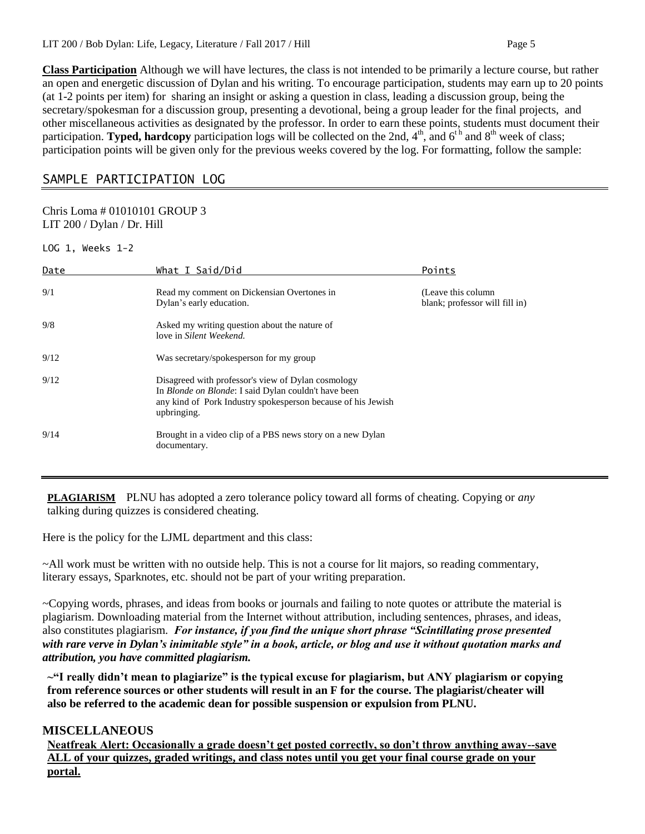**Class Participation** Although we will have lectures, the class is not intended to be primarily a lecture course, but rather an open and energetic discussion of Dylan and his writing. To encourage participation, students may earn up to 20 points (at 1-2 points per item) for sharing an insight or asking a question in class, leading a discussion group, being the secretary/spokesman for a discussion group, presenting a devotional, being a group leader for the final projects, and other miscellaneous activities as designated by the professor. In order to earn these points, students must document their participation. **Typed, hardcopy** participation logs will be collected on the 2nd,  $4<sup>th</sup>$ , and  $6<sup>th</sup>$  and  $8<sup>th</sup>$  week of class; participation points will be given only for the previous weeks covered by the log. For formatting, follow the sample:

# SAMPLE PARTICIPATION LOG

## Chris Loma # 01010101 GROUP 3 LIT 200 / Dylan / Dr. Hill

LOG 1, Weeks 1-2

| Date | What I Said/Did                                                                                                                                                                                   | Points                                                |
|------|---------------------------------------------------------------------------------------------------------------------------------------------------------------------------------------------------|-------------------------------------------------------|
| 9/1  | Read my comment on Dickensian Overtones in<br>Dylan's early education.                                                                                                                            | (Leave this column)<br>blank; professor will fill in) |
| 9/8  | Asked my writing question about the nature of<br>love in Silent Weekend.                                                                                                                          |                                                       |
| 9/12 | Was secretary/spokesperson for my group                                                                                                                                                           |                                                       |
| 9/12 | Disagreed with professor's view of Dylan cosmology<br>In <i>Blonde on Blonde</i> : I said Dylan couldn't have been<br>any kind of Pork Industry spokesperson because of his Jewish<br>upbringing. |                                                       |
| 9/14 | Brought in a video clip of a PBS news story on a new Dylan<br>documentary.                                                                                                                        |                                                       |

**PLAGIARISM** PLNU has adopted a zero tolerance policy toward all forms of cheating. Copying or *any* talking during quizzes is considered cheating.

Here is the policy for the LJML department and this class:

~All work must be written with no outside help. This is not a course for lit majors, so reading commentary, literary essays, Sparknotes, etc. should not be part of your writing preparation.

~Copying words, phrases, and ideas from books or journals and failing to note quotes or attribute the material is plagiarism. Downloading material from the Internet without attribution, including sentences, phrases, and ideas, also constitutes plagiarism. *For instance, if you find the unique short phrase "Scintillating prose presented with rare verve in Dylan's inimitable style" in a book, article, or blog and use it without quotation marks and attribution, you have committed plagiarism.*

**~"I really didn't mean to plagiarize" is the typical excuse for plagiarism, but ANY plagiarism or copying from reference sources or other students will result in an F for the course. The plagiarist/cheater will also be referred to the academic dean for possible suspension or expulsion from PLNU.**

## **MISCELLANEOUS**

**Neatfreak Alert: Occasionally a grade doesn't get posted correctly, so don't throw anything away--save ALL of your quizzes, graded writings, and class notes until you get your final course grade on your portal.**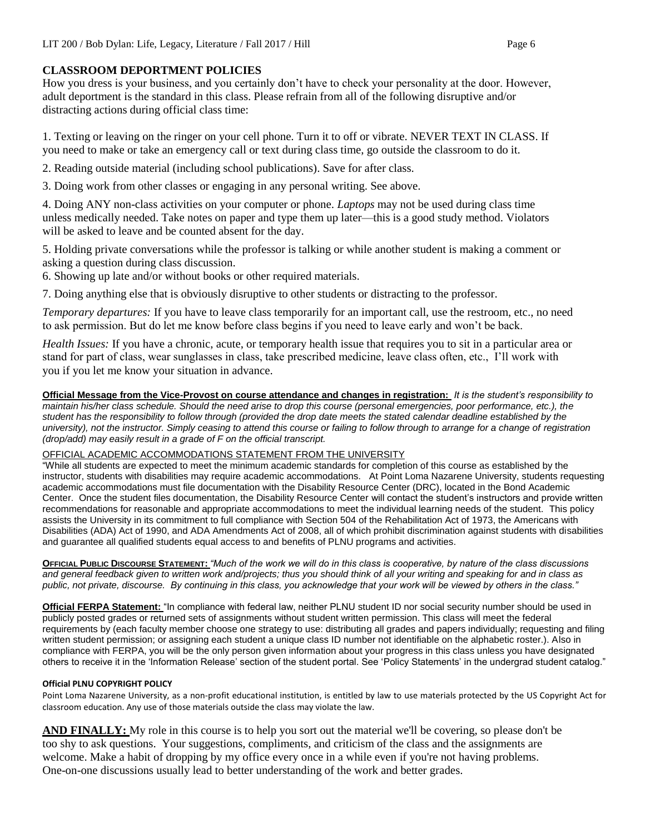# **CLASSROOM DEPORTMENT POLICIES**

How you dress is your business, and you certainly don't have to check your personality at the door. However, adult deportment is the standard in this class. Please refrain from all of the following disruptive and/or distracting actions during official class time:

1. Texting or leaving on the ringer on your cell phone. Turn it to off or vibrate. NEVER TEXT IN CLASS. If you need to make or take an emergency call or text during class time, go outside the classroom to do it.

2. Reading outside material (including school publications). Save for after class.

3. Doing work from other classes or engaging in any personal writing. See above.

4. Doing ANY non-class activities on your computer or phone. *Laptops* may not be used during class time unless medically needed. Take notes on paper and type them up later—this is a good study method. Violators will be asked to leave and be counted absent for the day.

5. Holding private conversations while the professor is talking or while another student is making a comment or asking a question during class discussion.

6. Showing up late and/or without books or other required materials.

7. Doing anything else that is obviously disruptive to other students or distracting to the professor.

*Temporary departures:* If you have to leave class temporarily for an important call, use the restroom, etc., no need to ask permission. But do let me know before class begins if you need to leave early and won't be back.

*Health Issues:* If you have a chronic, acute, or temporary health issue that requires you to sit in a particular area or stand for part of class, wear sunglasses in class, take prescribed medicine, leave class often, etc., I'll work with you if you let me know your situation in advance.

**Official Message from the Vice-Provost on course attendance and changes in registration:** *It is the student's responsibility to maintain his/her class schedule. Should the need arise to drop this course (personal emergencies, poor performance, etc.), the student has the responsibility to follow through (provided the drop date meets the stated calendar deadline established by the university), not the instructor. Simply ceasing to attend this course or failing to follow through to arrange for a change of registration (drop/add) may easily result in a grade of F on the official transcript.*

## OFFICIAL ACADEMIC ACCOMMODATIONS STATEMENT FROM THE UNIVERSITY

"While all students are expected to meet the minimum academic standards for completion of this course as established by the instructor, students with disabilities may require academic accommodations. At Point Loma Nazarene University, students requesting academic accommodations must file documentation with the Disability Resource Center (DRC), located in the Bond Academic Center. Once the student files documentation, the Disability Resource Center will contact the student's instructors and provide written recommendations for reasonable and appropriate accommodations to meet the individual learning needs of the student. This policy assists the University in its commitment to full compliance with Section 504 of the Rehabilitation Act of 1973, the Americans with Disabilities (ADA) Act of 1990, and ADA Amendments Act of 2008, all of which prohibit discrimination against students with disabilities and guarantee all qualified students equal access to and benefits of PLNU programs and activities.

**OFFICIAL PUBLIC DISCOURSE STATEMENT:** *"Much of the work we will do in this class is cooperative, by nature of the class discussions and general feedback given to written work and/projects; thus you should think of all your writing and speaking for and in class as public, not private, discourse. By continuing in this class, you acknowledge that your work will be viewed by others in the class."*

**Official FERPA Statement:** "In compliance with federal law, neither PLNU student ID nor social security number should be used in publicly posted grades or returned sets of assignments without student written permission. This class will meet the federal requirements by (each faculty member choose one strategy to use: distributing all grades and papers individually; requesting and filing written student permission; or assigning each student a unique class ID number not identifiable on the alphabetic roster.). Also in compliance with FERPA, you will be the only person given information about your progress in this class unless you have designated others to receive it in the 'Information Release' section of the student portal. See 'Policy Statements' in the undergrad student catalog."

## **Official PLNU COPYRIGHT POLICY**

Point Loma Nazarene University, as a non-profit educational institution, is entitled by law to use materials protected by the US Copyright Act for classroom education. Any use of those materials outside the class may violate the law.

**AND FINALLY:** My role in this course is to help you sort out the material we'll be covering, so please don't be too shy to ask questions. Your suggestions, compliments, and criticism of the class and the assignments are welcome. Make a habit of dropping by my office every once in a while even if you're not having problems. One-on-one discussions usually lead to better understanding of the work and better grades.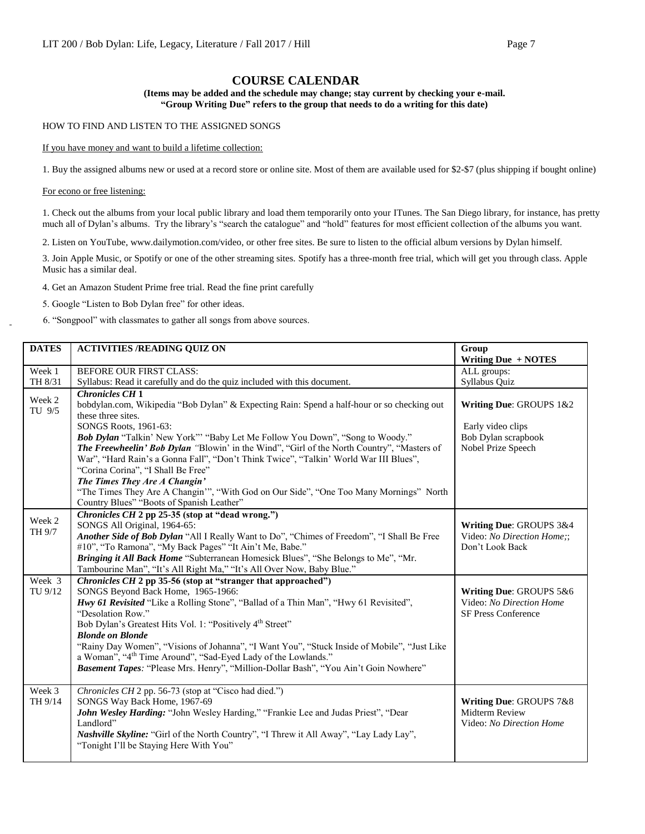## **COURSE CALENDAR**

#### **(Items may be added and the schedule may change; stay current by checking your e-mail. "Group Writing Due" refers to the group that needs to do a writing for this date)**

HOW TO FIND AND LISTEN TO THE ASSIGNED SONGS

#### If you have money and want to build a lifetime collection:

1. Buy the assigned albums new or used at a record store or online site. Most of them are available used for \$2-\$7 (plus shipping if bought online)

For econo or free listening:

1. Check out the albums from your local public library and load them temporarily onto your ITunes. The San Diego library, for instance, has pretty much all of Dylan's albums. Try the library's "search the catalogue" and "hold" features for most efficient collection of the albums you want.

2. Listen on YouTube, www.dailymotion.com/video, or other free sites. Be sure to listen to the official album versions by Dylan himself.

3. Join Apple Music, or Spotify or one of the other streaming sites. Spotify has a three-month free trial, which will get you through class. Apple Music has a similar deal.

4. Get an Amazon Student Prime free trial. Read the fine print carefully

5. Google "Listen to Bob Dylan free" for other ideas.

6. "Songpool" with classmates to gather all songs from above sources.

| <b>DATES</b>      | <b>ACTIVITIES /READING QUIZ ON</b>                                                                                                                                                                                                                                                                                                                                                                                                                                                                                                                                                                                                                       | Group<br>Writing Due + NOTES                                                              |
|-------------------|----------------------------------------------------------------------------------------------------------------------------------------------------------------------------------------------------------------------------------------------------------------------------------------------------------------------------------------------------------------------------------------------------------------------------------------------------------------------------------------------------------------------------------------------------------------------------------------------------------------------------------------------------------|-------------------------------------------------------------------------------------------|
| Week 1<br>TH 8/31 | BEFORE OUR FIRST CLASS:<br>Syllabus: Read it carefully and do the quiz included with this document.                                                                                                                                                                                                                                                                                                                                                                                                                                                                                                                                                      | ALL groups:<br>Syllabus Quiz                                                              |
| Week 2<br>TU 9/5  | <b>Chronicles CH 1</b><br>bobdylan.com, Wikipedia "Bob Dylan" & Expecting Rain: Spend a half-hour or so checking out<br>these three sites.<br>SONGS Roots, 1961-63:<br>Bob Dylan "Talkin' New York"" "Baby Let Me Follow You Down", "Song to Woody."<br>The Freewheelin' Bob Dylan "Blowin' in the Wind", "Girl of the North Country", "Masters of<br>War", "Hard Rain's a Gonna Fall", "Don't Think Twice", "Talkin' World War III Blues",<br>"Corina Corina", "I Shall Be Free"<br>The Times They Are A Changin'<br>"The Times They Are A Changin", "With God on Our Side", "One Too Many Mornings" North<br>Country Blues" "Boots of Spanish Leather" | Writing Due: GROUPS 1&2<br>Early video clips<br>Bob Dylan scrapbook<br>Nobel Prize Speech |
| Week 2<br>TH 9/7  | Chronicles CH 2 pp 25-35 (stop at "dead wrong.")<br>SONGS All Original, 1964-65:<br>Another Side of Bob Dylan "All I Really Want to Do", "Chimes of Freedom", "I Shall Be Free<br>#10", "To Ramona", "My Back Pages" "It Ain't Me, Babe."<br>Bringing it All Back Home "Subterranean Homesick Blues", "She Belongs to Me", "Mr.<br>Tambourine Man", "It's All Right Ma," "It's All Over Now, Baby Blue."                                                                                                                                                                                                                                                 | Writing Due: GROUPS 3&4<br>Video: No Direction Home;;<br>Don't Look Back                  |
| Week 3<br>TU 9/12 | Chronicles CH 2 pp 35-56 (stop at "stranger that approached")<br>SONGS Beyond Back Home, 1965-1966:<br>Hwy 61 Revisited "Like a Rolling Stone", "Ballad of a Thin Man", "Hwy 61 Revisited",<br>"Desolation Row."<br>Bob Dylan's Greatest Hits Vol. 1: "Positively 4 <sup>th</sup> Street"<br><b>Blonde on Blonde</b><br>"Rainy Day Women", "Visions of Johanna", "I Want You", "Stuck Inside of Mobile", "Just Like<br>a Woman", "4 <sup>th</sup> Time Around", "Sad-Eyed Lady of the Lowlands."<br>Basement Tapes: "Please Mrs. Henry", "Million-Dollar Bash", "You Ain't Goin Nowhere"                                                                 | Writing Due: GROUPS 5&6<br>Video: No Direction Home<br><b>SF Press Conference</b>         |
| Week 3<br>TH 9/14 | Chronicles CH 2 pp. 56-73 (stop at "Cisco had died.")<br>SONGS Way Back Home, 1967-69<br>John Wesley Harding: "John Wesley Harding," "Frankie Lee and Judas Priest", "Dear<br>Landlord"<br>Nashville Skyline: "Girl of the North Country", "I Threw it All Away", "Lay Lady Lay",<br>"Tonight I'll be Staying Here With You"                                                                                                                                                                                                                                                                                                                             | Writing Due: GROUPS 7&8<br>Midterm Review<br>Video: No Direction Home                     |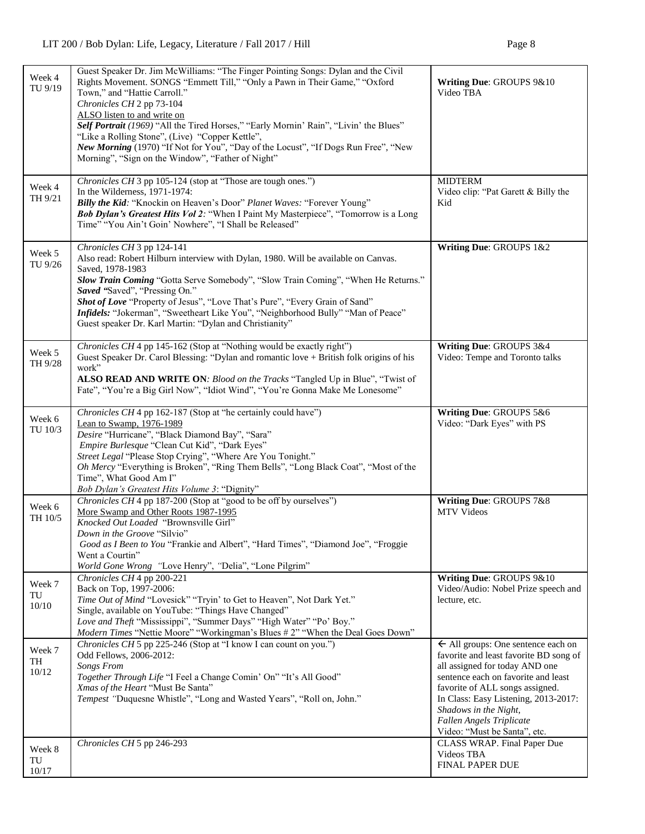| Week 4<br>TU 9/19       | Guest Speaker Dr. Jim McWilliams: "The Finger Pointing Songs: Dylan and the Civil<br>Rights Movement. SONGS "Emmett Till," "Only a Pawn in Their Game," "Oxford<br>Town," and "Hattie Carroll."<br>Chronicles CH 2 pp 73-104<br>ALSO listen to and write on<br>Self Portrait (1969) "All the Tired Horses," "Early Mornin' Rain", "Livin' the Blues"<br>"Like a Rolling Stone", (Live) "Copper Kettle",<br>New Morning (1970) "If Not for You", "Day of the Locust", "If Dogs Run Free", "New<br>Morning", "Sign on the Window", "Father of Night" | Writing Due: GROUPS 9&10<br>Video TBA                                                                                                                                                                                                                                                                                            |  |  |  |
|-------------------------|----------------------------------------------------------------------------------------------------------------------------------------------------------------------------------------------------------------------------------------------------------------------------------------------------------------------------------------------------------------------------------------------------------------------------------------------------------------------------------------------------------------------------------------------------|----------------------------------------------------------------------------------------------------------------------------------------------------------------------------------------------------------------------------------------------------------------------------------------------------------------------------------|--|--|--|
| Week 4<br>TH 9/21       | Chronicles CH 3 pp 105-124 (stop at "Those are tough ones.")<br>In the Wilderness, 1971-1974:<br>Billy the Kid: "Knockin on Heaven's Door" Planet Waves: "Forever Young"<br>Bob Dylan's Greatest Hits Vol 2: "When I Paint My Masterpiece", "Tomorrow is a Long<br>Time" "You Ain't Goin' Nowhere", "I Shall be Released"                                                                                                                                                                                                                          | <b>MIDTERM</b><br>Video clip: "Pat Garett & Billy the<br>Kid                                                                                                                                                                                                                                                                     |  |  |  |
| Week 5<br>TU 9/26       | Chronicles CH 3 pp 124-141<br>Also read: Robert Hilburn interview with Dylan, 1980. Will be available on Canvas.<br>Saved, 1978-1983<br>Slow Train Coming "Gotta Serve Somebody", "Slow Train Coming", "When He Returns."<br>Saved "Saved", "Pressing On."<br>Shot of Love "Property of Jesus", "Love That's Pure", "Every Grain of Sand"<br>Infidels: "Jokerman", "Sweetheart Like You", "Neighborhood Bully" "Man of Peace"<br>Guest speaker Dr. Karl Martin: "Dylan and Christianity"                                                           | Writing Due: GROUPS 1&2                                                                                                                                                                                                                                                                                                          |  |  |  |
| Week 5<br>TH 9/28       | Chronicles CH 4 pp 145-162 (Stop at "Nothing would be exactly right")<br>Guest Speaker Dr. Carol Blessing: "Dylan and romantic love + British folk origins of his<br>work"<br>ALSO READ AND WRITE ON: Blood on the Tracks "Tangled Up in Blue", "Twist of<br>Fate", "You're a Big Girl Now", "Idiot Wind", "You're Gonna Make Me Lonesome"                                                                                                                                                                                                         | Writing Due: GROUPS 3&4<br>Video: Tempe and Toronto talks                                                                                                                                                                                                                                                                        |  |  |  |
| Week 6<br>TU 10/3       | Chronicles CH 4 pp 162-187 (Stop at "he certainly could have")<br>Lean to Swamp, 1976-1989<br>Desire "Hurricane", "Black Diamond Bay", "Sara"<br>Empire Burlesque "Clean Cut Kid", "Dark Eyes"<br>Street Legal "Please Stop Crying", "Where Are You Tonight."<br>Oh Mercy "Everything is Broken", "Ring Them Bells", "Long Black Coat", "Most of the<br>Time", What Good Am I"<br>Bob Dylan's Greatest Hits Volume 3: "Dignity"                                                                                                                    | Writing Due: GROUPS 5&6<br>Video: "Dark Eyes" with PS                                                                                                                                                                                                                                                                            |  |  |  |
| Week 6<br>TH 10/5       | Chronicles CH 4 pp 187-200 (Stop at "good to be off by ourselves")<br>More Swamp and Other Roots 1987-1995<br>Knocked Out Loaded "Brownsville Girl"<br>Down in the Groove "Silvio"<br>Good as I Been to You "Frankie and Albert", "Hard Times", "Diamond Joe", "Froggie<br>Went a Courtin"<br>World Gone Wrong "Love Henry", "Delia", "Lone Pilgrim"                                                                                                                                                                                               | Writing Due: GROUPS 7&8<br>MTV Videos                                                                                                                                                                                                                                                                                            |  |  |  |
| Week 7<br>TU<br>$10/10$ | Chronicles CH 4 pp 200-221<br>Back on Top, 1997-2006:<br>Time Out of Mind "Lovesick" "Tryin' to Get to Heaven", Not Dark Yet."<br>Single, available on YouTube: "Things Have Changed"<br>Love and Theft "Mississippi", "Summer Days" "High Water" "Po' Boy."<br>Modern Times "Nettie Moore" "Workingman's Blues #2" "When the Deal Goes Down"                                                                                                                                                                                                      | Writing Due: GROUPS 9&10<br>Video/Audio: Nobel Prize speech and<br>lecture, etc.                                                                                                                                                                                                                                                 |  |  |  |
| Week 7<br>TH<br>10/12   | Chronicles CH 5 pp 225-246 (Stop at "I know I can count on you.")<br>Odd Fellows, 2006-2012:<br>Songs From<br>Together Through Life "I Feel a Change Comin' On" "It's All Good"<br>Xmas of the Heart "Must Be Santa"<br>Tempest "Duquesne Whistle", "Long and Wasted Years", "Roll on, John."                                                                                                                                                                                                                                                      | $\leftarrow$ All groups: One sentence each on<br>favorite and least favorite BD song of<br>all assigned for today AND one<br>sentence each on favorite and least<br>favorite of ALL songs assigned.<br>In Class: Easy Listening, 2013-2017:<br>Shadows in the Night,<br>Fallen Angels Triplicate<br>Video: "Must be Santa", etc. |  |  |  |
| Week 8<br>TU<br>10/17   | Chronicles CH 5 pp 246-293                                                                                                                                                                                                                                                                                                                                                                                                                                                                                                                         | CLASS WRAP. Final Paper Due<br>Videos TBA<br>FINAL PAPER DUE                                                                                                                                                                                                                                                                     |  |  |  |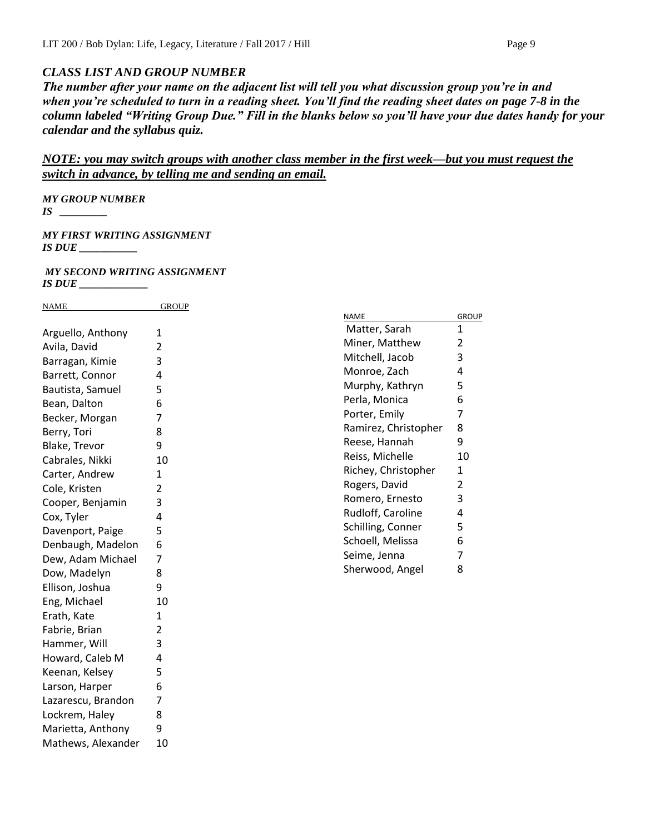# *CLASS LIST AND GROUP NUMBER*

*The number after your name on the adjacent list will tell you what discussion group you're in and when you're scheduled to turn in a reading sheet. You'll find the reading sheet dates on page 7-8 in the column labeled "Writing Group Due." Fill in the blanks below so you'll have your due dates handy for your calendar and the syllabus quiz.*

# *NOTE: you may switch groups with another class member in the first week—but you must request the switch in advance, by telling me and sending an email.*

*MY GROUP NUMBER* 

*IS \_\_\_\_\_\_\_\_\_*

*MY FIRST WRITING ASSIGNMENT IS DUE \_\_\_\_\_\_\_\_\_\_\_*

*MY SECOND WRITING ASSIGNMENT IS DUE \_\_\_\_\_\_\_\_\_\_\_\_\_*

| <b>NAME</b>          | <b>GROUP</b>   |
|----------------------|----------------|
|                      |                |
| Arguello, Anthony    | $\mathbf{1}$   |
| Avila, David         | $\overline{2}$ |
| Barragan, Kimie      | 3              |
| Barrett, Connor      | 4              |
| Bautista, Samuel     | 5              |
| Bean, Dalton         | 6              |
| Becker, Morgan       | $\overline{7}$ |
| Berry, Tori          | 8              |
| <b>Blake, Trevor</b> | 9              |
| Cabrales, Nikki      | 10             |
| Carter, Andrew       | $\mathbf{1}$   |
| Cole, Kristen        | $\overline{2}$ |
| Cooper, Benjamin     | 3              |
| Cox, Tyler           | 4              |
| Davenport, Paige     | 5              |
| Denbaugh, Madelon    | 6              |
| Dew, Adam Michael    | $\overline{7}$ |
| Dow, Madelyn         | 8              |
| Ellison, Joshua      | 9              |
| Eng, Michael         | 10             |
| Erath, Kate          | $\mathbf{1}$   |
| Fabrie, Brian        | $\overline{2}$ |
| Hammer, Will         | 3              |
| Howard, Caleb M      | 4              |
| Keenan, Kelsey       | 5              |
| Larson, Harper       | 6              |
| Lazarescu, Brandon   | $\overline{7}$ |
| Lockrem, Haley       | 8              |
| Marietta, Anthony    | 9              |
| Mathews, Alexander   | 10             |

| NAME                 | GROUP |
|----------------------|-------|
| Matter, Sarah        | 1     |
| Miner, Matthew       | 2     |
| Mitchell, Jacob      | 3     |
| Monroe, Zach         | 4     |
| Murphy, Kathryn      | 5     |
| Perla, Monica        | 6     |
| Porter, Emily        | 7     |
| Ramirez, Christopher | 8     |
| Reese, Hannah        | 9     |
| Reiss, Michelle      | 10    |
| Richey, Christopher  | 1     |
| Rogers, David        | 2     |
| Romero, Ernesto      | 3     |
| Rudloff, Caroline    | 4     |
| Schilling, Conner    | 5     |
| Schoell, Melissa     | 6     |
| Seime, Jenna         | 7     |
| Sherwood, Angel      | 8     |
|                      |       |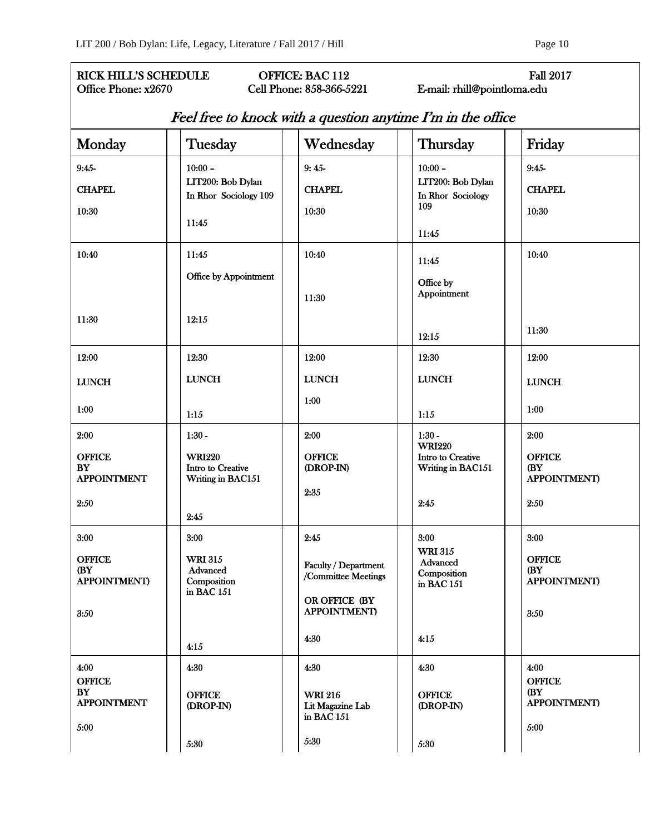| <b>RICK HILL'S SCHEDULE</b><br><b>OFFICE: BAC 112</b><br><b>Fall 2017</b><br>E-mail: rhill@pointloma.edu<br>Office Phone: x2670<br><b>Cell Phone: 858-366-5221</b> |  |                                            |  |                                                  |  |                                               |                            |
|--------------------------------------------------------------------------------------------------------------------------------------------------------------------|--|--------------------------------------------|--|--------------------------------------------------|--|-----------------------------------------------|----------------------------|
| Feel free to knock with a question anytime I'm in the office                                                                                                       |  |                                            |  |                                                  |  |                                               |                            |
| Monday                                                                                                                                                             |  | Tuesday                                    |  | Wednesday                                        |  | Thursday                                      | Friday                     |
| $9:45-$                                                                                                                                                            |  | $10:00 -$                                  |  | $9:45-$                                          |  | $10:00 -$                                     | $9:45-$                    |
| <b>CHAPEL</b>                                                                                                                                                      |  | LIT200: Bob Dylan<br>In Rhor Sociology 109 |  | <b>CHAPEL</b>                                    |  | LIT200: Bob Dylan<br>In Rhor Sociology<br>109 | <b>CHAPEL</b>              |
| 10:30                                                                                                                                                              |  |                                            |  | 10:30                                            |  |                                               | 10:30                      |
|                                                                                                                                                                    |  | 11:45                                      |  |                                                  |  | 11:45                                         |                            |
| 10:40                                                                                                                                                              |  | 11:45                                      |  | 10:40                                            |  | 11:45                                         | 10:40                      |
|                                                                                                                                                                    |  | Office by Appointment                      |  |                                                  |  | Office by                                     |                            |
|                                                                                                                                                                    |  |                                            |  | 11:30                                            |  | Appointment                                   |                            |
| 11:30                                                                                                                                                              |  | 12:15                                      |  |                                                  |  |                                               | 11:30                      |
|                                                                                                                                                                    |  |                                            |  |                                                  |  | 12:15                                         |                            |
| 12:00                                                                                                                                                              |  | 12:30                                      |  | 12:00                                            |  | 12:30                                         | 12:00                      |
| <b>LUNCH</b>                                                                                                                                                       |  | <b>LUNCH</b>                               |  | <b>LUNCH</b>                                     |  | <b>LUNCH</b>                                  | <b>LUNCH</b>               |
| 1:00                                                                                                                                                               |  | 1:15                                       |  | 1:00                                             |  | 1:15                                          | 1:00                       |
| 2:00                                                                                                                                                               |  | $1:30 -$                                   |  | 2:00                                             |  | $1:30 -$                                      | 2:00                       |
| <b>OFFICE</b>                                                                                                                                                      |  | <b>WRI220</b>                              |  | <b>OFFICE</b>                                    |  | <b>WRI220</b><br>Intro to Creative            | <b>OFFICE</b>              |
| <b>BY</b><br><b>APPOINTMENT</b>                                                                                                                                    |  | Intro to Creative<br>Writing in BAC151     |  | (DROP-IN)                                        |  | Writing in BAC151                             | (BY<br><b>APPOINTMENT)</b> |
| 2:50                                                                                                                                                               |  |                                            |  | 2:35                                             |  | 2:45                                          | 2:50                       |
|                                                                                                                                                                    |  | 2:45                                       |  |                                                  |  |                                               |                            |
| 3:00                                                                                                                                                               |  | 3:00                                       |  | 2:45                                             |  | 3:00<br><b>WRI 315</b>                        | 3:00                       |
| <b>OFFICE</b><br>(BY                                                                                                                                               |  | <b>WRI 315</b><br>Advanced                 |  | Faculty / Department<br>/Committee Meetings      |  | Advanced<br>Composition                       | <b>OFFICE</b><br>(BY       |
| <b>APPOINTMENT)</b>                                                                                                                                                |  | Composition<br>in BAC 151                  |  |                                                  |  | in BAC 151                                    | <b>APPOINTMENT)</b>        |
| 3:50                                                                                                                                                               |  |                                            |  | OR OFFICE (BY<br><b>APPOINTMENT)</b>             |  |                                               | 3:50                       |
|                                                                                                                                                                    |  |                                            |  | 4:30                                             |  | 4:15                                          |                            |
|                                                                                                                                                                    |  | 4:15                                       |  |                                                  |  |                                               |                            |
| 4:00<br><b>OFFICE</b>                                                                                                                                              |  | 4:30                                       |  | 4:30                                             |  | 4:30                                          | 4:00<br><b>OFFICE</b>      |
| BY<br><b>APPOINTMENT</b>                                                                                                                                           |  | <b>OFFICE</b><br>(DROP-IN)                 |  | <b>WRI 216</b><br>Lit Magazine Lab<br>in BAC 151 |  | <b>OFFICE</b><br>(DROP-IN)                    | (BY<br><b>APPOINTMENT)</b> |
| 5:00                                                                                                                                                               |  | 5:30                                       |  | 5:30                                             |  | 5:30                                          | 5:00                       |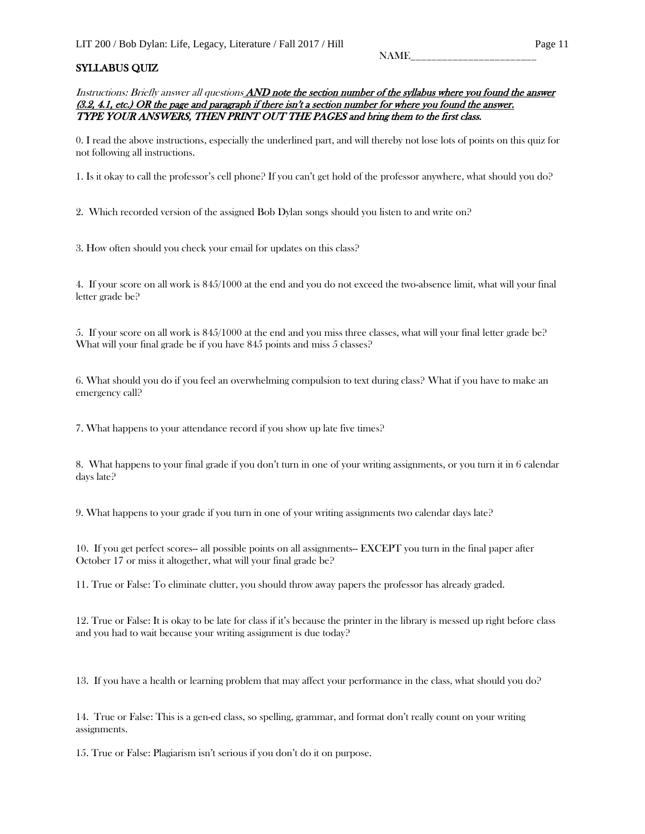### SYLLABUS QUIZ

Instructions: Briefly answer all questions AND note the section number of the syllabus where you found the answer (3.2, 4.1, etc.) OR the page and paragraph if there isn't a section number for where you found the answer. TYPE YOUR ANSWERS, THEN PRINT OUT THE PAGES and bring them to the first class.

0. I read the above instructions, especially the underlined part, and will thereby not lose lots of points on this quiz for not following all instructions.

1. Is it okay to call the professor's cell phone? If you can't get hold of the professor anywhere, what should you do?

2. Which recorded version of the assigned Bob Dylan songs should you listen to and write on?

3. How often should you check your email for updates on this class?

4. If your score on all work is 845/1000 at the end and you do not exceed the two-absence limit, what will your final letter grade be?

5. If your score on all work is 845/1000 at the end and you miss three classes, what will your final letter grade be? What will your final grade be if you have 845 points and miss 5 classes?

6. What should you do if you feel an overwhelming compulsion to text during class? What if you have to make an emergency call?

7. What happens to your attendance record if you show up late five times?

8. What happens to your final grade if you don't turn in one of your writing assignments, or you turn it in 6 calendar days late?

9. What happens to your grade if you turn in one of your writing assignments two calendar days late?

10. If you get perfect scores-- all possible points on all assignments-- EXCEPT you turn in the final paper after October 17 or miss it altogether, what will your final grade be?

11. True or False: To eliminate clutter, you should throw away papers the professor has already graded.

12. True or False: It is okay to be late for class if it's because the printer in the library is messed up right before class and you had to wait because your writing assignment is due today?

13. If you have a health or learning problem that may affect your performance in the class, what should you do?

14. True or False: This is a gen-ed class, so spelling, grammar, and format don't really count on your writing assignments.

15. True or False: Plagiarism isn't serious if you don't do it on purpose.